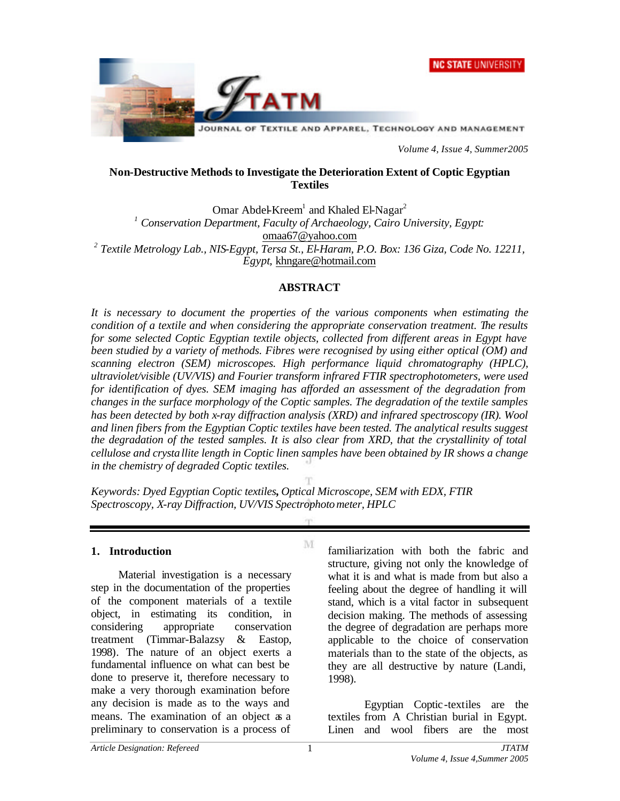



*Volume 4, Issue 4, Summer2005*

#### **Non-Destructive Methods to Investigate the Deterioration Extent of Coptic Egyptian Textiles**

Omar Abdel-Kreem<sup>1</sup> and Khaled El-Nagar<sup>2</sup> *1 Conservation Department, Faculty of Archaeology, Cairo University, Egypt:* omaa67@yahoo.com <sup>2</sup> Textile Metrology Lab., NIS-Egypt, Tersa St., El-Haram, P.O. Box: 136 Giza, Code No. 12211, *Egypt,* khngare@hotmail.com

#### **ABSTRACT**

*It is necessary to document the properties of the various components when estimating the condition of a textile and when considering the appropriate conservation treatment. The results for some selected Coptic Egyptian textile objects, collected from different areas in Egypt have been studied by a variety of methods. Fibres were recognised by using either optical (OM) and scanning electron (SEM) microscopes. High performance liquid chromatography (HPLC), ultraviolet/visible (UV/VIS) and Fourier transform infrared FTIR spectrophotometers, were used for identification of dyes. SEM imaging has afforded an assessment of the degradation from changes in the surface morphology of the Coptic samples. The degradation of the textile samples has been detected by both x-ray diffraction analysis (XRD) and infrared spectroscopy (IR). Wool and linen fibers from the Egyptian Coptic textiles have been tested. The analytical results suggest the degradation of the tested samples. It is also clear from XRD, that the crystallinity of total cellulose and crystallite length in Coptic linen samples have been obtained by IR shows a change in the chemistry of degraded Coptic textiles.*

M

*Keywords: Dyed Egyptian Coptic textiles, Optical Microscope, SEM with EDX, FTIR Spectroscopy, X-ray Diffraction, UV/VIS Spectrophotometer, HPLC*

#### **1. Introduction**

Material investigation is a necessary step in the documentation of the properties of the component materials of a textile object, in estimating its condition, in considering appropriate conservation treatment (Timmar-Balazsy & Eastop, 1998). The nature of an object exerts a fundamental influence on what can best be done to preserve it, therefore necessary to make a very thorough examination before any decision is made as to the ways and means. The examination of an object as a preliminary to conservation is a process of

familiarization with both the fabric and structure, giving not only the knowledge of what it is and what is made from but also a feeling about the degree of handling it will stand, which is a vital factor in subsequent decision making. The methods of assessing the degree of degradation are perhaps more applicable to the choice of conservation materials than to the state of the objects, as they are all destructive by nature (Landi, 1998).

Egyptian Coptic-textiles are the textiles from A Christian burial in Egypt. Linen and wool fibers are the most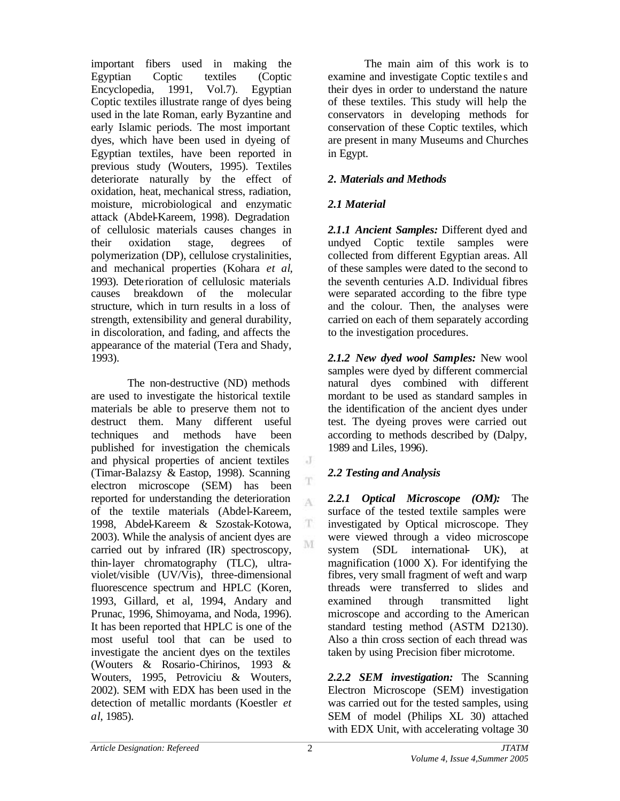important fibers used in making the Egyptian Coptic textiles (Coptic Encyclopedia, 1991, Vol.7). Egyptian Coptic textiles illustrate range of dyes being used in the late Roman, early Byzantine and early Islamic periods. The most important dyes, which have been used in dyeing of Egyptian textiles, have been reported in previous study (Wouters, 1995). Textiles deteriorate naturally by the effect of oxidation, heat, mechanical stress, radiation, moisture, microbiological and enzymatic attack (Abdel-Kareem, 1998). Degradation of cellulosic materials causes changes in their oxidation stage, degrees of polymerization (DP), cellulose crystalinities, and mechanical properties (Kohara *et al*, 1993). Deterioration of cellulosic materials causes breakdown of the molecular structure, which in turn results in a loss of strength, extensibility and general durability, in discoloration, and fading, and affects the appearance of the material (Tera and Shady, 1993).

The non-destructive (ND) methods are used to investigate the historical textile materials be able to preserve them not to destruct them. Many different useful techniques and methods have been published for investigation the chemicals and physical properties of ancient textiles (Timar-Balazsy & Eastop, 1998). Scanning electron microscope (SEM) has been reported for understanding the deterioration of the textile materials (Abdel-Kareem, 1998, Abdel-Kareem & Szostak-Kotowa, 2003). While the analysis of ancient dyes are carried out by infrared (IR) spectroscopy, thin-layer chromatography (TLC), ultraviolet/visible (UV/Vis), three-dimensional fluorescence spectrum and HPLC (Koren, 1993, Gillard, et al, 1994, Andary and Prunac, 1996, Shimoyama, and Noda, 1996). It has been reported that HPLC is one of the most useful tool that can be used to investigate the ancient dyes on the textiles (Wouters & Rosario-Chirinos, 1993 & Wouters, 1995, Petroviciu & Wouters, 2002). SEM with EDX has been used in the detection of metallic mordants (Koestler *et al*, 1985).

The main aim of this work is to examine and investigate Coptic textile s and their dyes in order to understand the nature of these textiles. This study will help the conservators in developing methods for conservation of these Coptic textiles, which are present in many Museums and Churches in Egypt.

#### *2. Materials and Methods*

### *2.1 Material*

*2.1.1 Ancient Samples:* Different dyed and undyed Coptic textile samples were collected from different Egyptian areas. All of these samples were dated to the second to the seventh centuries A.D. Individual fibres were separated according to the fibre type and the colour. Then, the analyses were carried on each of them separately according to the investigation procedures.

*2.1.2 New dyed wool Samples:* New wool samples were dyed by different commercial natural dyes combined with different mordant to be used as standard samples in the identification of the ancient dyes under test. The dyeing proves were carried out according to methods described by (Dalpy, 1989 and Liles, 1996).

## *2.2 Testing and Analysis*

*2.2.1 Optical Microscope (OM):* The surface of the tested textile samples were investigated by Optical microscope. They were viewed through a video microscope system (SDL international- UK), at magnification (1000 X). For identifying the fibres, very small fragment of weft and warp threads were transferred to slides and examined through transmitted light microscope and according to the American standard testing method (ASTM D2130). Also a thin cross section of each thread was taken by using Precision fiber microtome.

*2.2.2 SEM investigation:* The Scanning Electron Microscope (SEM) investigation was carried out for the tested samples, using SEM of model (Philips XL 30) attached with EDX Unit, with accelerating voltage 30

J

T

A

T. M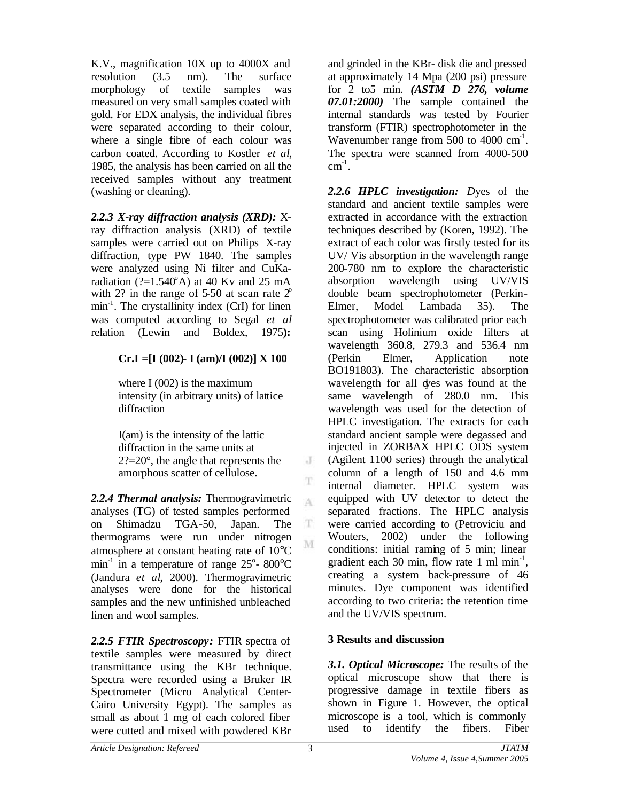K.V., magnification 10X up to 4000X and resolution (3.5 nm). The surface morphology of textile samples was measured on very small samples coated with gold. For EDX analysis, the individual fibres were separated according to their colour, where a single fibre of each colour was carbon coated. According to Kostler *et al*, 1985, the analysis has been carried on all the received samples without any treatment (washing or cleaning).

*2.2.3 X-ray diffraction analysis (XRD):* Xray diffraction analysis (XRD) of textile samples were carried out on Philips X-ray diffraction, type PW 1840. The samples were analyzed using Ni filter and CuKaradiation ( $?=1.540^{\circ}$ A) at 40 Kv and 25 mA with 2? in the range of 5-50 at scan rate  $2^{\circ}$ min<sup>-1</sup>. The crystallinity index (CrI) for linen was computed according to Segal *et al* relation (Lewin and Boldex, 1975**):**

## **Cr.I =[I (002)- I (am)/I (002)] X 100**

where I  $(002)$  is the maximum intensity (in arbitrary units) of lattice diffraction

I(am) is the intensity of the lattic diffraction in the same units at 2?=20°, the angle that represents the amorphous scatter of cellulose.

*2.2.4 Thermal analysis:* Thermogravimetric analyses (TG) of tested samples performed on Shimadzu TGA-50, Japan. The thermograms were run under nitrogen atmosphere at constant heating rate of 10°C min<sup>-1</sup> in a temperature of range  $25^{\circ}$ - 800°C (Jandura *et al*, 2000). Thermogravimetric analyses were done for the historical samples and the new unfinished unbleached linen and wool samples.

*2.2.5 FTIR Spectroscopy:* FTIR spectra of textile samples were measured by direct transmittance using the KBr technique. Spectra were recorded using a Bruker IR Spectrometer (Micro Analytical Center-Cairo University Egypt). The samples as small as about 1 mg of each colored fiber were cutted and mixed with powdered KBr

and grinded in the KBr- disk die and pressed at approximately 14 Mpa (200 psi) pressure for 2 to5 min. *(ASTM D 276, volume 07.01:2000)* The sample contained the internal standards was tested by Fourier transform (FTIR) spectrophotometer in the Wavenumber range from  $500$  to  $4000 \text{ cm}^{-1}$ . The spectra were scanned from 4000-500  $cm^{-1}$ .

*2.2.6 HPLC investigation: D*yes of the standard and ancient textile samples were extracted in accordance with the extraction techniques described by (Koren, 1992). The extract of each color was firstly tested for its UV/ Vis absorption in the wavelength range 200-780 nm to explore the characteristic absorption wavelength using UV/VIS double beam spectrophotometer (Perkin-Elmer, Model Lambada 35). The spectrophotometer was calibrated prior each scan using Holinium oxide filters at wavelength 360.8, 279.3 and 536.4 nm (Perkin Elmer, Application note BO191803). The characteristic absorption wavelength for all dyes was found at the same wavelength of 280.0 nm. This wavelength was used for the detection of HPLC investigation. The extracts for each standard ancient sample were degassed and injected in ZORBAX HPLC ODS system (Agilent 1100 series) through the analytical column of a length of 150 and 4.6 mm internal diameter. HPLC system was equipped with UV detector to detect the separated fractions. The HPLC analysis were carried according to (Petroviciu and Wouters, 2002) under the following conditions: initial raming of 5 min; linear gradient each 30 min, flow rate 1 ml min<sup>-1</sup>, creating a system back-pressure of 46 minutes. Dye component was identified according to two criteria: the retention time and the UV/VIS spectrum.

# **3 Results and discussion**

*3.1. Optical Microscope:* The results of the optical microscope show that there is progressive damage in textile fibers as shown in Figure 1. However, the optical microscope is a tool, which is commonly used to identify the fibers. Fiber

J

T

A

 $\mathbf T$ M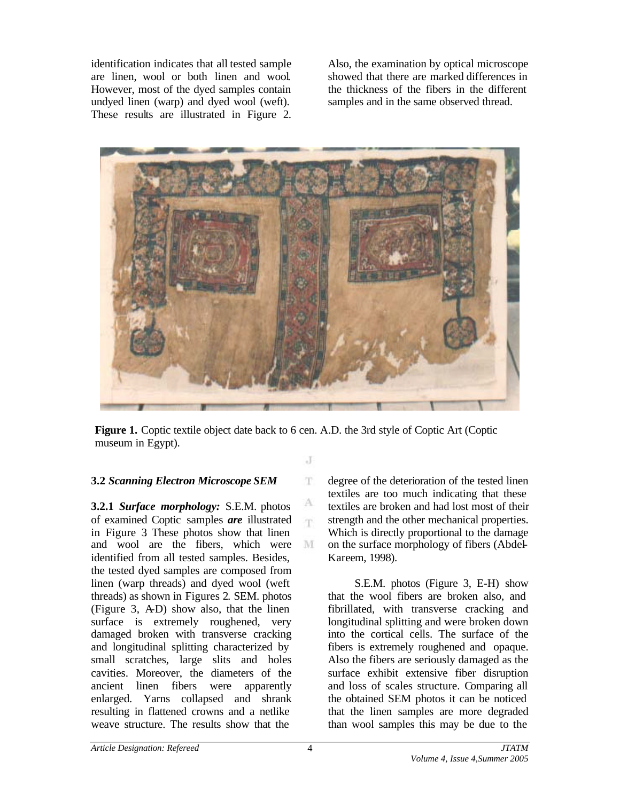identification indicates that all tested sample are linen, wool or both linen and wool. However, most of the dyed samples contain undyed linen (warp) and dyed wool (weft). These results are illustrated in Figure 2. Also, the examination by optical microscope showed that there are marked differences in the thickness of the fibers in the different samples and in the same observed thread.



**Figure 1.** Coptic textile object date back to 6 cen. A.D. the 3rd style of Coptic Art (Coptic museum in Egypt).

J

T.

А 'n

M

#### **3.2** *Scanning Electron Microscope SEM*

**3.2.1** *Surface morphology:* S.E.M. photos of examined Coptic samples *are* illustrated in Figure 3. These photos show that linen and wool are the fibers, which were identified from all tested samples. Besides, the tested dyed samples are composed from linen (warp threads) and dyed wool (weft threads) as shown in Figures 2. SEM. photos (Figure 3, A-D) show also, that the linen surface is extremely roughened, very damaged broken with transverse cracking and longitudinal splitting characterized by small scratches, large slits and holes cavities. Moreover, the diameters of the ancient linen fibers were apparently enlarged. Yarns collapsed and shrank resulting in flattened crowns and a netlike weave structure. The results show that the

degree of the deterioration of the tested linen textiles are too much indicating that these textiles are broken and had lost most of their strength and the other mechanical properties. Which is directly proportional to the damage on the surface morphology of fibers (Abdel-Kareem, 1998).

 S.E.M. photos (Figure 3, E-H) show that the wool fibers are broken also, and fibrillated, with transverse cracking and longitudinal splitting and were broken down into the cortical cells. The surface of the fibers is extremely roughened and opaque. Also the fibers are seriously damaged as the surface exhibit extensive fiber disruption and loss of scales structure. Comparing all the obtained SEM photos it can be noticed that the linen samples are more degraded than wool samples this may be due to the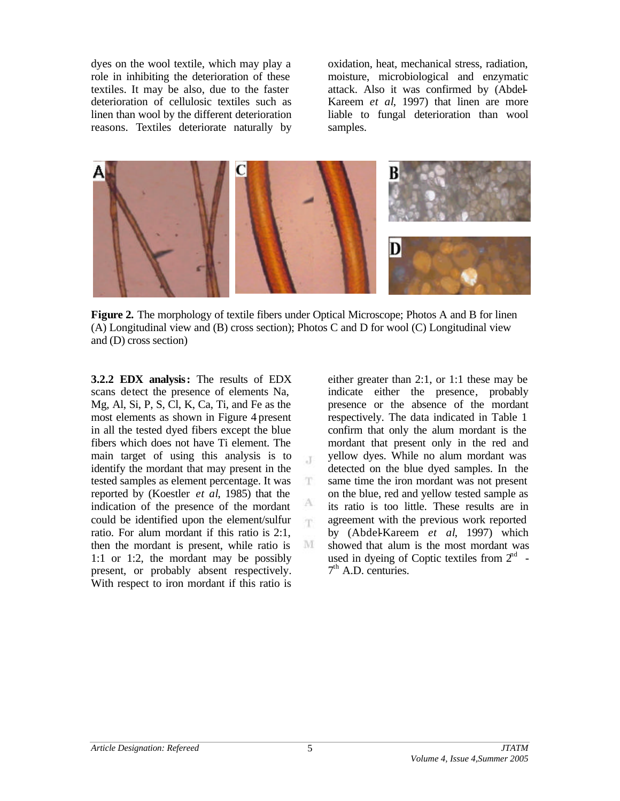dyes on the wool textile, which may play a role in inhibiting the deterioration of these textiles. It may be also, due to the faster deterioration of cellulosic textiles such as linen than wool by the different deterioration reasons. Textiles deteriorate naturally by

oxidation, heat, mechanical stress, radiation, moisture, microbiological and enzymatic attack. Also it was confirmed by (Abdel-Kareem *et al*, 1997) that linen are more liable to fungal deterioration than wool samples.



**Figure 2.** The morphology of textile fibers under Optical Microscope; Photos A and B for linen (A) Longitudinal view and (B) cross section); Photos C and D for wool (C) Longitudinal view and (D) cross section)

 $\mathcal{X}$ 

T

A 'n.

M

**3.2.2 EDX analysis:** The results of EDX scans detect the presence of elements Na, Mg, Al, Si, P, S, Cl, K, Ca, Ti, and Fe as the most elements as shown in Figure 4 present in all the tested dyed fibers except the blue fibers which does not have Ti element. The main target of using this analysis is to identify the mordant that may present in the tested samples as element percentage. It was reported by (Koestler *et al*, 1985) that the indication of the presence of the mordant could be identified upon the element/sulfur ratio. For alum mordant if this ratio is 2:1, then the mordant is present, while ratio is 1:1 or 1:2, the mordant may be possibly present, or probably absent respectively. With respect to iron mordant if this ratio is

either greater than 2:1, or 1:1 these may be indicate either the presence, probably presence or the absence of the mordant respectively. The data indicated in Table 1 confirm that only the alum mordant is the mordant that present only in the red and yellow dyes. While no alum mordant was detected on the blue dyed samples. In the same time the iron mordant was not present on the blue, red and yellow tested sample as its ratio is too little. These results are in agreement with the previous work reported by (Abdel-Kareem *et al*, 1997) which showed that alum is the most mordant was used in dyeing of Coptic textiles from  $2<sup>nd</sup>$  - $7<sup>th</sup>$  A.D. centuries.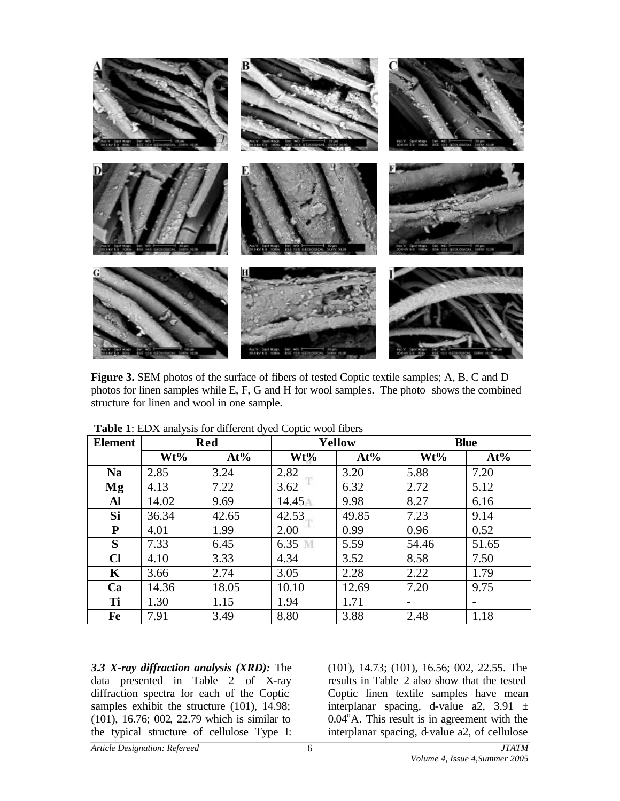

**Figure 3.** SEM photos of the surface of fibers of tested Coptic textile samples; A, B, C and D photos for linen samples while E, F, G and H for wool sample s. The photo shows the combined structure for linen and wool in one sample.

| <b>Element</b> | <b>Red</b> |       | <b>Yellow</b> |       | <b>Blue</b>              |       |
|----------------|------------|-------|---------------|-------|--------------------------|-------|
|                | Wt%        | At%   | Wt%           | At%   | Wt%                      | At%   |
| <b>Na</b>      | 2.85       | 3.24  | 2.82          | 3.20  | 5.88                     | 7.20  |
| Mg             | 4.13       | 7.22  | 3.62          | 6.32  | 2.72                     | 5.12  |
| Al             | 14.02      | 9.69  | 14.45         | 9.98  | 8.27                     | 6.16  |
| Si             | 36.34      | 42.65 | 42.53         | 49.85 | 7.23                     | 9.14  |
| P              | 4.01       | 1.99  | 2.00          | 0.99  | 0.96                     | 0.52  |
| S              | 7.33       | 6.45  | 6.35<br>M     | 5.59  | 54.46                    | 51.65 |
| $\mathbf C$    | 4.10       | 3.33  | 4.34          | 3.52  | 8.58                     | 7.50  |
| K              | 3.66       | 2.74  | 3.05          | 2.28  | 2.22                     | 1.79  |
| Ca             | 14.36      | 18.05 | 10.10         | 12.69 | 7.20                     | 9.75  |
| Ti             | 1.30       | 1.15  | 1.94          | 1.71  | $\overline{\phantom{0}}$ | -     |
| Fe             | 7.91       | 3.49  | 8.80          | 3.88  | 2.48                     | 1.18  |

**Table 1**: EDX analysis for different dyed Coptic wool fibers

*3.3 X-ray diffraction analysis (XRD):* The data presented in Table 2 of X-ray diffraction spectra for each of the Coptic samples exhibit the structure (101), 14.98; (101), 16.76; 002, 22.79 which is similar to the typical structure of cellulose Type I:

(101), 14.73; (101), 16.56; 002, 22.55. The results in Table 2 also show that the tested Coptic linen textile samples have mean interplanar spacing, d-value a2, 3.91  $\pm$  $0.04^{\circ}$ A. This result is in agreement with the interplanar spacing, d-value a2, of cellulose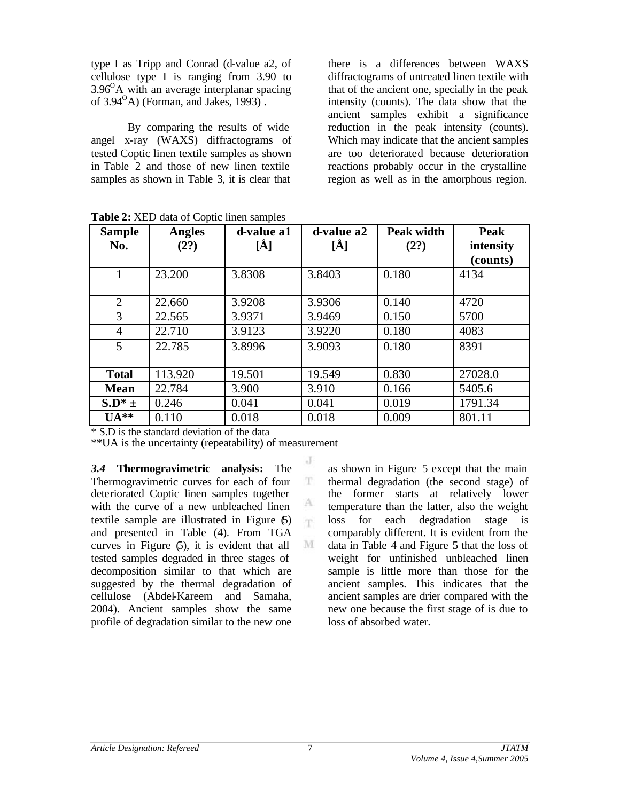type I as Tripp and Conrad (d-value a2, of cellulose type I is ranging from 3.90 to  $3.96^{\circ}$ A with an average interplanar spacing of  $3.94^{\circ}$ A) (Forman, and Jakes, 1993).

By comparing the results of wide angel x-ray (WAXS) diffractograms of tested Coptic linen textile samples as shown in Table 2 and those of new linen textile samples as shown in Table 3, it is clear that

there is a differences between WAXS diffractograms of untreated linen textile with that of the ancient one, specially in the peak intensity (counts). The data show that the ancient samples exhibit a significance reduction in the peak intensity (counts). Which may indicate that the ancient samples are too deteriorated because deterioration reactions probably occur in the crystalline region as well as in the amorphous region.

| <b>Sample</b><br>No. | <b>Angles</b><br>(2?) | d-value a1<br>[Å] | d-value a2<br>[Å] | Peak width<br>(2?) | Peak<br>intensity<br>(counts) |
|----------------------|-----------------------|-------------------|-------------------|--------------------|-------------------------------|
| 1                    | 23.200                | 3.8308            | 3.8403            | 0.180              | 4134                          |
| 2                    | 22.660                | 3.9208            | 3.9306            | 0.140              | 4720                          |
| 3                    | 22.565                | 3.9371            | 3.9469            | 0.150              | 5700                          |
| 4                    | 22.710                | 3.9123            | 3.9220            | 0.180              | 4083                          |
| 5                    | 22.785                | 3.8996            | 3.9093            | 0.180              | 8391                          |
| <b>Total</b>         | 113.920               | 19.501            | 19.549            | 0.830              | 27028.0                       |
| <b>Mean</b>          | 22.784                | 3.900             | 3.910             | 0.166              | 5405.6                        |
| $S.D^* =$            | 0.246                 | 0.041             | 0.041             | 0.019              | 1791.34                       |
| $UA**$               | 0.110                 | 0.018             | 0.018             | 0.009              | 801.11                        |

T

A m

M

**Table 2:** XED data of Coptic linen samples

\* S.D is the standard deviation of the data

\*\*UA is the uncertainty (repeatability) of measurement

*3.4* **Thermogravimetric analysis:** The Thermogravimetric curves for each of four deteriorated Coptic linen samples together with the curve of a new unbleached linen textile sample are illustrated in Figure (5) and presented in Table (4). From TGA curves in Figure (5), it is evident that all tested samples degraded in three stages of decomposition similar to that which are suggested by the thermal degradation of cellulose (Abdel-Kareem and Samaha, 2004). Ancient samples show the same profile of degradation similar to the new one

as shown in Figure 5 except that the main thermal degradation (the second stage) of the former starts at relatively lower temperature than the latter, also the weight loss for each degradation stage is comparably different. It is evident from the data in Table 4 and Figure 5 that the loss of weight for unfinished unbleached linen sample is little more than those for the ancient samples. This indicates that the ancient samples are drier compared with the new one because the first stage of is due to loss of absorbed water.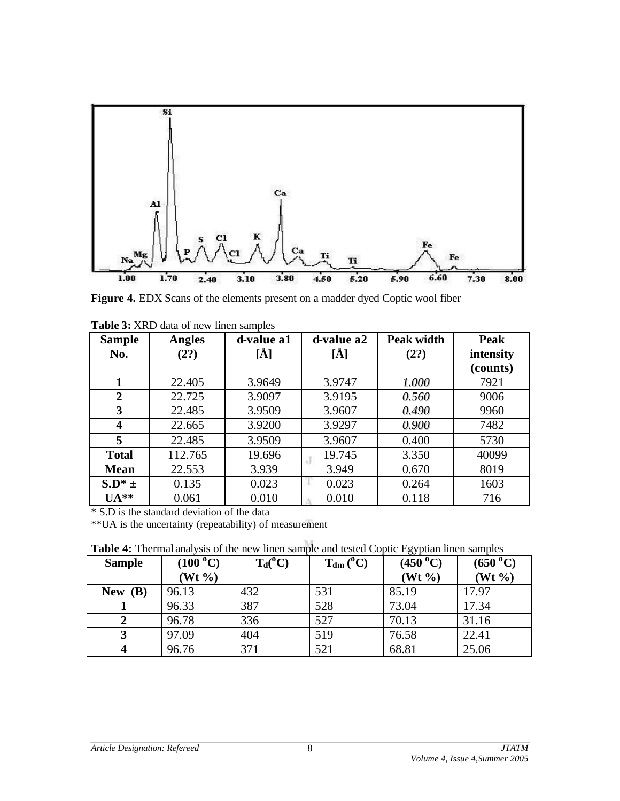

Figure 4. EDX Scans of the elements present on a madder dyed Coptic wool fiber

| <b>Sample</b>    | <b>Angles</b> | d-value a1 | d-value a2 | <b>Peak width</b> | Peak      |
|------------------|---------------|------------|------------|-------------------|-----------|
| No.              | (2?)          | [Å]        | [Ă]        | (2?)              | intensity |
|                  |               |            |            |                   | (counts)  |
| 1                | 22.405        | 3.9649     | 3.9747     | 1.000             | 7921      |
| 2                | 22.725        | 3.9097     | 3.9195     | 0.560             | 9006      |
| 3                | 22.485        | 3.9509     | 3.9607     | 0.490             | 9960      |
| $\boldsymbol{4}$ | 22.665        | 3.9200     | 3.9297     | 0.900             | 7482      |
| 5                | 22.485        | 3.9509     | 3.9607     | 0.400             | 5730      |
| <b>Total</b>     | 112.765       | 19.696     | 19.745     | 3.350             | 40099     |
| <b>Mean</b>      | 22.553        | 3.939      | 3.949      | 0.670             | 8019      |
| $S.D^* =$        | 0.135         | 0.023      | 0.023      | 0.264             | 1603      |
| $UA**$           | 0.061         | 0.010      | 0.010      | 0.118             | 716       |

**Table 3:** XRD data of new linen samples

\* S.D is the standard deviation of the data

\*\*UA is the uncertainty (repeatability) of measurement

**Table 4:** Thermal analysis of the new linen sample and tested Coptic Egyptian linen samples

| <b>Twore</b> it filefinal analysis of the new filen sample and tested copile $D_{\rm N}$ plant filen samples |                    |            |                |            |                    |  |
|--------------------------------------------------------------------------------------------------------------|--------------------|------------|----------------|------------|--------------------|--|
| <b>Sample</b>                                                                                                | (100 °C)           | $T_d(^oC)$ | $T_{dm} (^0C)$ | (450 °C)   | $(650\text{ °C})$  |  |
|                                                                                                              | $(Wt \frac{9}{6})$ |            |                | $(Wt \% )$ | $(Wt \frac{9}{6})$ |  |
| New $(B)$                                                                                                    | 96.13              | 432        | 531            | 85.19      | 17.97              |  |
|                                                                                                              | 96.33              | 387        | 528            | 73.04      | 17.34              |  |
|                                                                                                              | 96.78              | 336        | 527            | 70.13      | 31.16              |  |
|                                                                                                              | 97.09              | 404        | 519            | 76.58      | 22.41              |  |
|                                                                                                              | 96.76              | 371        | 521            | 68.81      | 25.06              |  |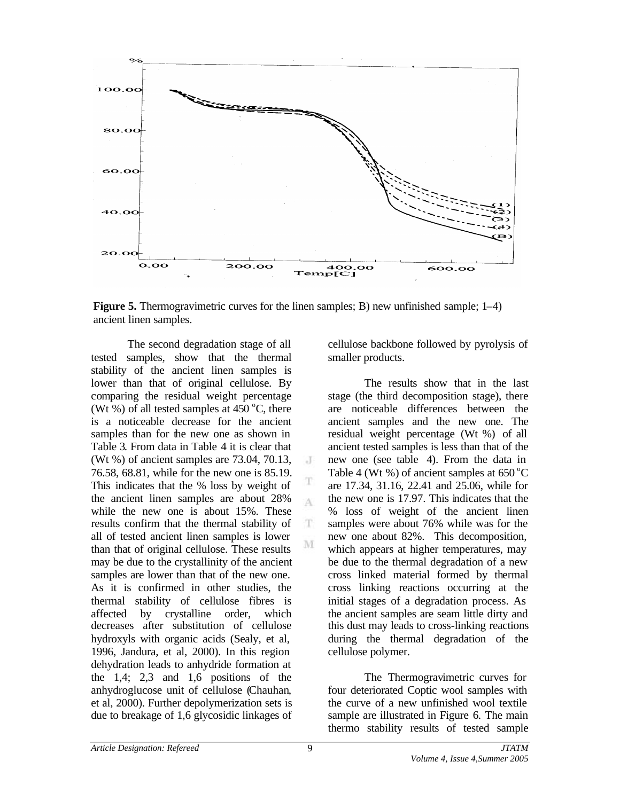

**Figure 5.** Thermogravimetric curves for the linen samples; B) new unfinished sample; 1–4) ancient linen samples.

 $\cdot$ T

T A

T

M

The second degradation stage of all tested samples, show that the thermal stability of the ancient linen samples is lower than that of original cellulose. By comparing the residual weight percentage (Wt %) of all tested samples at  $450^{\circ}$ C, there is a noticeable decrease for the ancient samples than for the new one as shown in Table 3. From data in Table 4 it is clear that (Wt %) of ancient samples are 73.04, 70.13, 76.58, 68.81, while for the new one is 85.19. This indicates that the % loss by weight of the ancient linen samples are about 28% while the new one is about 15%. These results confirm that the thermal stability of all of tested ancient linen samples is lower than that of original cellulose. These results may be due to the crystallinity of the ancient samples are lower than that of the new one. As it is confirmed in other studies, the thermal stability of cellulose fibres is affected by crystalline order, which decreases after substitution of cellulose hydroxyls with organic acids (Sealy, et al, 1996, Jandura, et al, 2000). In this region dehydration leads to anhydride formation at the 1,4; 2,3 and 1,6 positions of the anhydroglucose unit of cellulose (Chauhan, et al, 2000). Further depolymerization sets is due to breakage of 1,6 glycosidic linkages of

cellulose backbone followed by pyrolysis of smaller products.

The results show that in the last stage (the third decomposition stage), there are noticeable differences between the ancient samples and the new one. The residual weight percentage (Wt %) of all ancient tested samples is less than that of the new one (see table 4). From the data in Table 4 (Wt %) of ancient samples at  $650^{\circ}$ C are 17.34, 31.16, 22.41 and 25.06, while for the new one is 17.97. This indicates that the % loss of weight of the ancient linen samples were about 76% while was for the new one about 82%. This decomposition, which appears at higher temperatures, may be due to the thermal degradation of a new cross linked material formed by thermal cross linking reactions occurring at the initial stages of a degradation process. As the ancient samples are seam little dirty and this dust may leads to cross-linking reactions during the thermal degradation of the cellulose polymer.

The Thermogravimetric curves for four deteriorated Coptic wool samples with the curve of a new unfinished wool textile sample are illustrated in Figure 6. The main thermo stability results of tested sample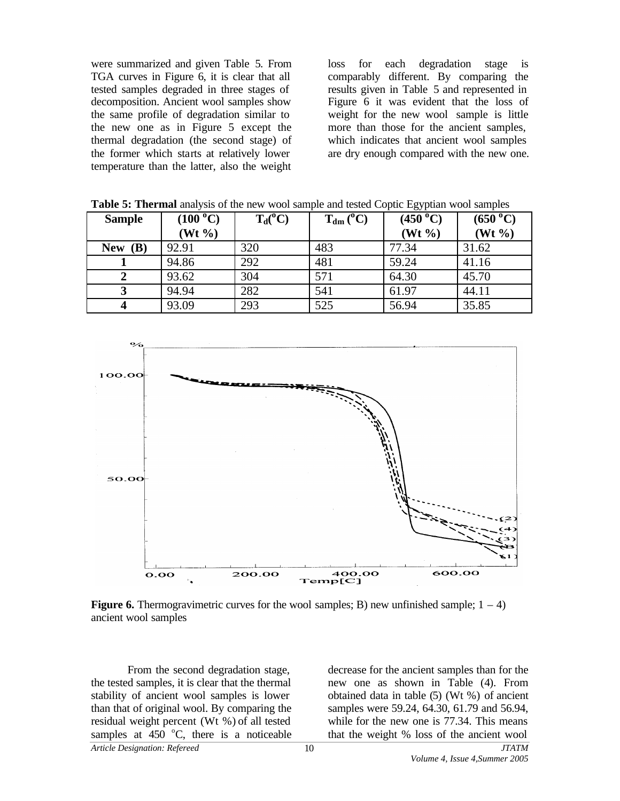were summarized and given Table 5. From TGA curves in Figure 6, it is clear that all tested samples degraded in three stages of decomposition. Ancient wool samples show the same profile of degradation similar to the new one as in Figure 5 except the thermal degradation (the second stage) of the former which starts at relatively lower temperature than the latter, also the weight

loss for each degradation stage is comparably different. By comparing the results given in Table 5 and represented in Figure 6 it was evident that the loss of weight for the new wool sample is little more than those for the ancient samples, which indicates that ancient wool samples are dry enough compared with the new one.

| <b>Sample</b> | $(100\text{ °C})$  | $T_d(^oC)$ | $T_{dm} (^0C)$ | (450 °C)           | (650 °C)           |
|---------------|--------------------|------------|----------------|--------------------|--------------------|
|               | $(Wt \frac{9}{6})$ |            |                | $(Wt \frac{9}{6})$ | $(Wt \frac{9}{6})$ |
| New $(B)$     | 92.91              | 320        | 483            | 77.34              | 31.62              |
|               | 94.86              | 292        | 481            | 59.24              | 41.16              |
| 2             | 93.62              | 304        | 571            | 64.30              | 45.70              |
|               | 94.94              | 282        | 541            | 61.97              | 44.11              |
|               | 93.09              | 293        | 525            | 56.94              | 35.85              |

**Table 5: Thermal** analysis of the new wool sample and tested Coptic Egyptian wool samples



**Figure 6.** Thermogravimetric curves for the wool samples; B) new unfinished sample;  $1 - 4$ ) ancient wool samples

*Article Designation: Refereed JTATM* From the second degradation stage, the tested samples, it is clear that the thermal stability of ancient wool samples is lower than that of original wool. By comparing the residual weight percent (Wt %) of all tested samples at  $450^\circ$ C, there is a noticeable

decrease for the ancient samples than for the new one as shown in Table (4). From obtained data in table (5) (Wt %) of ancient samples were 59.24, 64.30, 61.79 and 56.94, while for the new one is 77.34. This means that the weight % loss of the ancient wool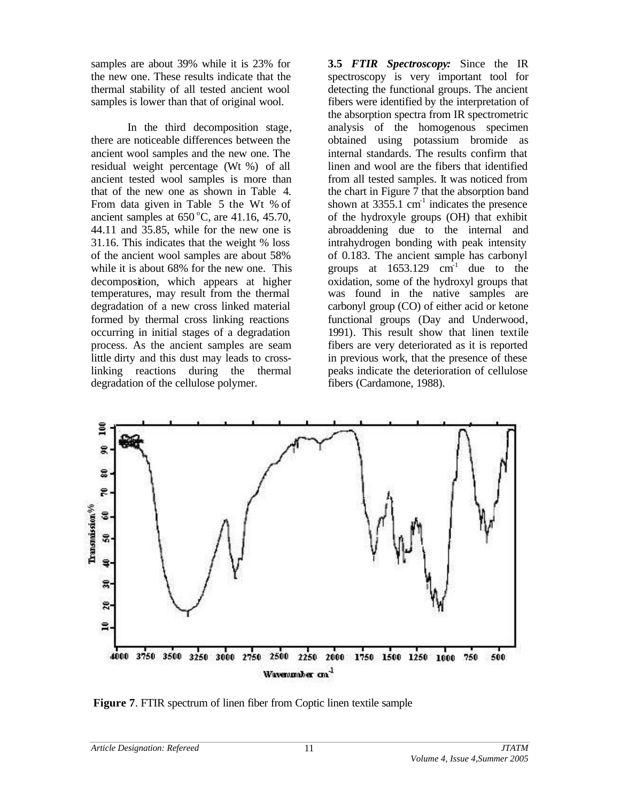samples are about 39% while it is 23% for the new one. These results indicate that the thermal stability of all tested ancient wool samples is lower than that of original wool.

In the third decomposition stage, there are noticeable differences between the ancient wool samples and the new one. The residual weight percentage (Wt %) of all ancient tested wool samples is more than that of the new one as shown in Table 4. From data given in Table 5 the Wt % of ancient samples at  $650^{\circ}$ C, are  $41.16$ ,  $45.70$ , 44.11 and 35.85, while for the new one is 31.16. This indicates that the weight % loss of the ancient wool samples are about 58% while it is about 68% for the new one. This decomposition, which appears at higher temperatures, may result from the thermal degradation of a new cross linked material formed by thermal cross linking reactions occurring in initial stages of a degradation process. As the ancient samples are seam little dirty and this dust may leads to crosslinking reactions during the thermal degradation of the cellulose polymer.

**3.5** *FTIR Spectroscopy:* Since the IR spectroscopy is very important tool for detecting the functional groups. The ancient fibers were identified by the interpretation of the absorption spectra from IR spectrometric analysis of the homogenous specimen obtained using potassium bromide as internal standards. The results confirm that linen and wool are the fibers that identified from all tested samples. It was noticed from the chart in Figure  $\overline{7}$  that the absorption band shown at  $3355.1 \text{ cm}^{-1}$  indicates the presence of the hydroxyle groups (OH) that exhibit abroaddening due to the internal and intrahydrogen bonding with peak intensity of 0.183. The ancient sample has carbonyl groups at  $1653.129$  cm<sup>-1</sup> due to the oxidation, some of the hydroxyl groups that was found in the native samples are carbonyl group (CO) of either acid or ketone functional groups (Day and Underwood, 1991). This result show that linen textile fibers are very deteriorated as it is reported in previous work, that the presence of these peaks indicate the deterioration of cellulose fibers (Cardamone, 1988).



**Figure 7**. FTIR spectrum of linen fiber from Coptic linen textile sample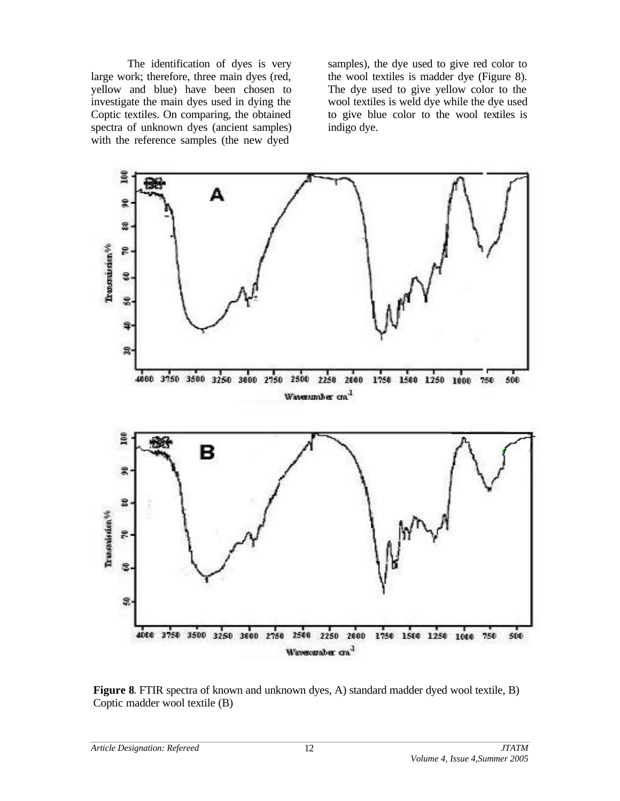The identification of dyes is very large work; therefore, three main dyes (red, yellow and blue) have been chosen to investigate the main dyes used in dying the Coptic textiles. On comparing, the obtained spectra of unknown dyes (ancient samples) with the reference samples (the new dyed

samples), the dye used to give red color to the wool textiles is madder dye (Figure 8). The dye used to give yellow color to the wool textiles is weld dye while the dye used to give blue color to the wool textiles is indigo dye.



**Figure 8**. FTIR spectra of known and unknown dyes, A) standard madder dyed wool textile, B) Coptic madder wool textile (B)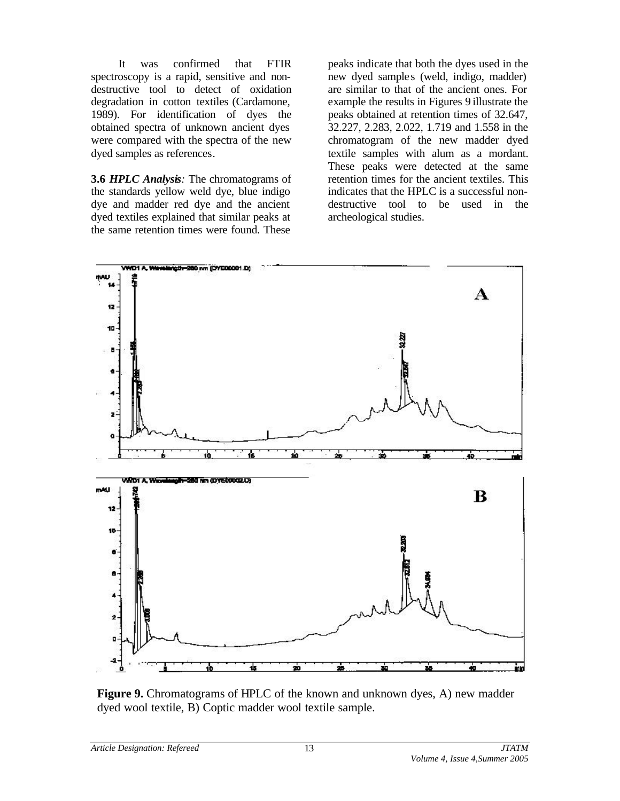It was confirmed that FTIR spectroscopy is a rapid, sensitive and nondestructive tool to detect of oxidation degradation in cotton textiles (Cardamone, 1989). For identification of dyes the obtained spectra of unknown ancient dyes were compared with the spectra of the new dyed samples as references.

**3.6** *HPLC Analysis:* The chromatograms of the standards yellow weld dye, blue indigo dye and madder red dye and the ancient dyed textiles explained that similar peaks at the same retention times were found. These

peaks indicate that both the dyes used in the new dyed sample s (weld, indigo, madder) are similar to that of the ancient ones. For example the results in Figures 9 illustrate the peaks obtained at retention times of 32.647, 32.227, 2.283, 2.022, 1.719 and 1.558 in the chromatogram of the new madder dyed textile samples with alum as a mordant. These peaks were detected at the same retention times for the ancient textiles. This indicates that the HPLC is a successful nondestructive tool to be used in the archeological studies.



**Figure 9.** Chromatograms of HPLC of the known and unknown dyes, A) new madder dyed wool textile, B) Coptic madder wool textile sample.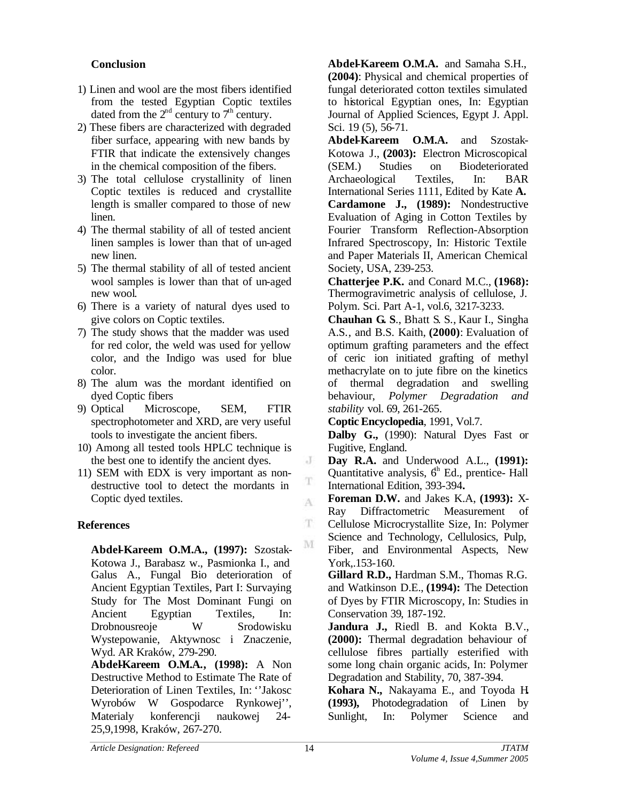### **Conclusion**

- 1) Linen and wool are the most fibers identified from the tested Egyptian Coptic textiles dated from the  $2<sup>nd</sup>$  century to  $7<sup>th</sup>$  century.
- 2) These fibers are characterized with degraded fiber surface, appearing with new bands by FTIR that indicate the extensively changes in the chemical composition of the fibers.
- 3) The total cellulose crystallinity of linen Coptic textiles is reduced and crystallite length is smaller compared to those of new linen.
- 4) The thermal stability of all of tested ancient linen samples is lower than that of un-aged new linen.
- 5) The thermal stability of all of tested ancient wool samples is lower than that of un-aged new wool.
- 6) There is a variety of natural dyes used to give colors on Coptic textiles.
- 7) The study shows that the madder was used for red color, the weld was used for yellow color, and the Indigo was used for blue color.
- 8) The alum was the mordant identified on dyed Coptic fibers
- 9) Optical Microscope, SEM, FTIR spectrophotometer and XRD, are very useful tools to investigate the ancient fibers.
- 10) Among all tested tools HPLC technique is the best one to identify the ancient dyes.
- 11) SEM with EDX is very important as nondestructive tool to detect the mordants in Coptic dyed textiles.

## **References**

**Abdel-Kareem O.M.A., (1997):** Szostak-Kotowa J., Barabasz w., Pasmionka I., and Galus A., Fungal Bio deterioration of Ancient Egyptian Textiles, Part I: Survaying Study for The Most Dominant Fungi on Ancient Egyptian Textiles, In: Drobnousreoje W Srodowisku Wystepowanie, Aktywnosc i Znaczenie, Wyd. AR Kraków, 279-290.

**Abdel-Kareem O.M.A., (1998):** A Non Destructive Method to Estimate The Rate of Deterioration of Linen Textiles, In: ''Jakosc Wyrobów W Gospodarce Rynkowej'', Materialy konferencji naukowej 24- 25,9,1998, Kraków, 267-270.

**Abdel-Kareem O.M.A.** and Samaha S.H., **(2004)**: Physical and chemical properties of fungal deteriorated cotton textiles simulated to historical Egyptian ones, In: Egyptian Journal of Applied Sciences, Egypt J. Appl. Sci. 19 (5), 56-71.

**Abdel-Kareem O.M.A.** and Szostak-Kotowa J., **(2003):** Electron Microscopical (SEM.) Studies on Biodeteriorated Archaeological Textiles, In: BAR International Series 1111, Edited by Kate **A. Cardamone J., (1989):** Nondestructive Evaluation of Aging in Cotton Textiles by Fourier Transform Reflection-Absorption Infrared Spectroscopy, In: Historic Textile and Paper Materials II, American Chemical Society, USA, 239-253.

**Chatterjee P.K.** and Conard M.C., **(1968):** Thermogravimetric analysis of cellulose, J. Polym. Sci. Part A-1, vol.6, 3217-3233.

**Chauhan G. S**., Bhatt S. S., Kaur I., Singha A.S., and B.S. Kaith, **(2000)**: Evaluation of optimum grafting parameters and the effect of ceric ion initiated grafting of methyl methacrylate on to jute fibre on the kinetics of thermal degradation and swelling behaviour, *Polymer Degradation and stability* vol. 69, 261-265.

**Coptic Encyclopedia**, 1991, Vol.7.

**Dalby G.,** (1990): Natural Dyes Fast or Fugitive, England.

**Day R.A.** and Underwood A.L., **(1991):** Quantitative analysis,  $6<sup>h</sup>$  Ed., prentice- Hall International Edition, 393-394**.**

**Foreman D.W.** and Jakes K.A, **(1993):** X-Ray Diffractometric Measurement of Cellulose Microcrystallite Size, In: Polymer Science and Technology, Cellulosics, Pulp, Fiber, and Environmental Aspects, New York,.153-160.

**Gillard R.D.,** Hardman S.M., Thomas R.G. and Watkinson D.E., **(1994):** The Detection of Dyes by FTIR Microscopy, In: Studies in Conservation 39, 187-192.

**Jandura J.,** Riedl B. and Kokta B.V., **(2000):** Thermal degradation behaviour of cellulose fibres partially esterified with some long chain organic acids, In: Polymer Degradation and Stability, 70, 387-394.

**Kohara N.,** Nakayama E., and Toyoda H**. (1993),** Photodegradation of Linen by Sunlight, In: Polymer Science and

 $\cdot$ 

T A

 $\mathbf T$ 

M